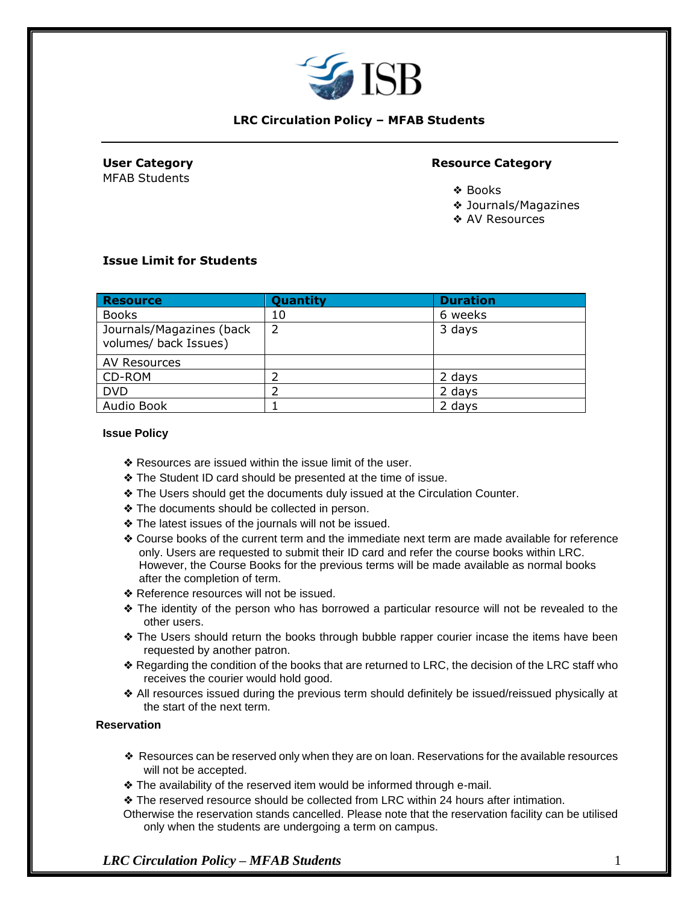

## **LRC Circulation Policy – MFAB Students**

MFAB Students

## **User Category Resource Category**

- ❖ Books
- ❖ Journals/Magazines
- ❖ AV Resources

## **Issue Limit for Students**

| <b>Resource</b>                                   | Quantity | <b>Duration</b> |
|---------------------------------------------------|----------|-----------------|
| <b>Books</b>                                      | 10       | 6 weeks         |
| Journals/Magazines (back<br>volumes/ back Issues) | 2        | 3 days          |
| AV Resources                                      |          |                 |
| CD-ROM                                            |          | 2 days          |
| <b>DVD</b>                                        |          | 2 days          |
| Audio Book                                        |          | 2 days          |

#### **Issue Policy**

- ❖ Resources are issued within the issue limit of the user.
- ❖ The Student ID card should be presented at the time of issue.
- ❖ The Users should get the documents duly issued at the Circulation Counter.
- ❖ The documents should be collected in person.
- ❖ The latest issues of the journals will not be issued.
- ❖ Course books of the current term and the immediate next term are made available for reference only. Users are requested to submit their ID card and refer the course books within LRC. However, the Course Books for the previous terms will be made available as normal books after the completion of term.
- ❖ Reference resources will not be issued.
- ❖ The identity of the person who has borrowed a particular resource will not be revealed to the other users.
- ❖ The Users should return the books through bubble rapper courier incase the items have been requested by another patron.
- ❖ Regarding the condition of the books that are returned to LRC, the decision of the LRC staff who receives the courier would hold good.
- ❖ All resources issued during the previous term should definitely be issued/reissued physically at the start of the next term.

## **Reservation**

- ❖ Resources can be reserved only when they are on loan. Reservations for the available resources will not be accepted.
- ❖ The availability of the reserved item would be informed through e-mail.
- ❖ The reserved resource should be collected from LRC within 24 hours after intimation.
- Otherwise the reservation stands cancelled. Please note that the reservation facility can be utilised only when the students are undergoing a term on campus.